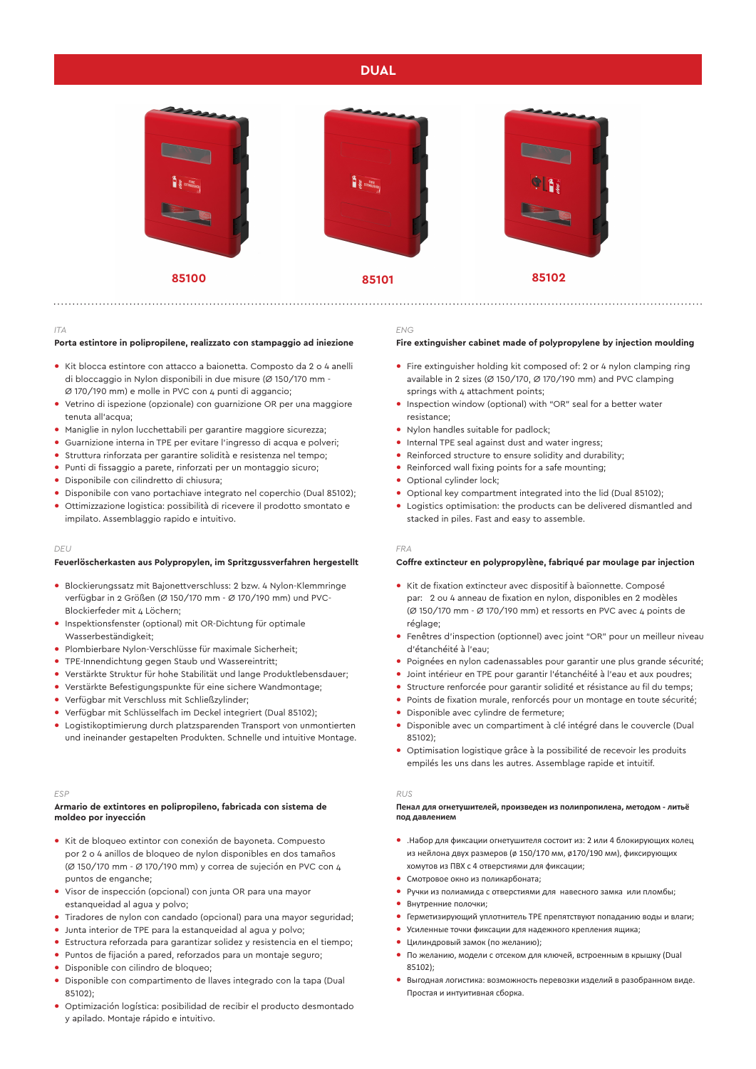# **DUAL**



#### *ITA*

## **Porta estintore in polipropilene, realizzato con stampaggio ad iniezione**

- **•** Kit blocca estintore con attacco a baionetta. Composto da 2 o 4 anelli di bloccaggio in Nylon disponibili in due misure (Ø 150/170 mm - Ø 170/190 mm) e molle in PVC con 4 punti di aggancio;
- **•** Vetrino di ispezione (opzionale) con guarnizione OR per una maggiore tenuta all'acqua;
- **•** Maniglie in nylon lucchettabili per garantire maggiore sicurezza;
- **•** Guarnizione interna in TPE per evitare l'ingresso di acqua e polveri;
- **•** Struttura rinforzata per garantire solidità e resistenza nel tempo;
- **•** Punti di fissaggio a parete, rinforzati per un montaggio sicuro;
- **•** Disponibile con cilindretto di chiusura;
- **•** Disponibile con vano portachiave integrato nel coperchio (Dual 85102);
- **•** Ottimizzazione logistica: possibilità di ricevere il prodotto smontato e impilato. Assemblaggio rapido e intuitivo.

## *DEU*

### **Feuerlöscherkasten aus Polypropylen, im Spritzgussverfahren hergestellt**

- **•** Blockierungssatz mit Bajonettverschluss: 2 bzw. 4 Nylon-Klemmringe verfügbar in 2 Größen (Ø 150/170 mm - Ø 170/190 mm) und PVC-Blockierfeder mit 4 Löchern:
- **•** Inspektionsfenster (optional) mit OR-Dichtung für optimale Wasserbeständigkeit;
- **•** Plombierbare Nylon-Verschlüsse für maximale Sicherheit;
- **•** TPE-Innendichtung gegen Staub und Wassereintritt;
- **•** Verstärkte Struktur für hohe Stabilität und lange Produktlebensdauer;
- **•** Verstärkte Befestigungspunkte für eine sichere Wandmontage;
- **•** Verfügbar mit Verschluss mit Schließzylinder;
- **•** Verfügbar mit Schlüsselfach im Deckel integriert (Dual 85102);
- **•** Logistikoptimierung durch platzsparenden Transport von unmontierten und ineinander gestapelten Produkten. Schnelle und intuitive Montage.

#### *ESP*

### **Armario de extintores en polipropileno, fabricada con sistema de moldeo por inyección**

- **•** Kit de bloqueo extintor con conexión de bayoneta. Compuesto por 2 o 4 anillos de bloqueo de nylon disponibles en dos tamaños (Ø 150/170 mm - Ø 170/190 mm) y correa de sujeción en PVC con 4 puntos de enganche;
- **•** Visor de inspección (opcional) con junta OR para una mayor estanqueidad al agua y polvo;
- **•** Tiradores de nylon con candado (opcional) para una mayor seguridad;
- **•** Junta interior de TPE para la estanqueidad al agua y polvo;
- **•** Estructura reforzada para garantizar solidez y resistencia en el tiempo;
- **•** Puntos de fijación a pared, reforzados para un montaje seguro;
- **•** Disponible con cilindro de bloqueo;
- **•** Disponible con compartimento de llaves integrado con la tapa (Dual 85102);
- **•** Optimización logística: posibilidad de recibir el producto desmontado y apilado. Montaje rápido e intuitivo.

#### *ENG*

## **Fire extinguisher cabinet made of polypropylene by injection moulding**

- **•** Fire extinguisher holding kit composed of: 2 or 4 nylon clamping ring available in 2 sizes (Ø 150/170, Ø 170/190 mm) and PVC clamping springs with 4 attachment points;
- **•** Inspection window (optional) with "OR" seal for a better water resistance;
- **•** Nylon handles suitable for padlock;
- **•** Internal TPE seal against dust and water ingress;
- **•** Reinforced structure to ensure solidity and durability;
- **•** Reinforced wall fixing points for a safe mounting;
- **•** Optional cylinder lock;
- **•** Optional key compartment integrated into the lid (Dual 85102);
- **•** Logistics optimisation: the products can be delivered dismantled and stacked in piles. Fast and easy to assemble.

#### *FRA*

### **Coffre extincteur en polypropylène, fabriqué par moulage par injection**

- **•** Kit de fixation extincteur avec dispositif à baïonnette. Composé par: 2 ou 4 anneau de fixation en nylon, disponibles en 2 modèles (Ø 150/170 mm - Ø 170/190 mm) et ressorts en PVC avec 4 points de réglage;
- **•** Fenêtres d'inspection (optionnel) avec joint "OR" pour un meilleur niveau d'étanchéité à l'eau;
- **•** Poignées en nylon cadenassables pour garantir une plus grande sécurité;
- **•** Joint intérieur en TPE pour garantir l'étanchéité à l'eau et aux poudres;
- **•** Structure renforcée pour garantir solidité et résistance au fil du temps;
- **•** Points de fixation murale, renforcés pour un montage en toute sécurité;
- **•** Disponible avec cylindre de fermeture;
- **•** Disponible avec un compartiment à clé intégré dans le couvercle (Dual 85102);
- **•** Optimisation logistique grâce à la possibilité de recevoir les produits empilés les uns dans les autres. Assemblage rapide et intuitif.

#### *RUS*

#### **Пенал для огнетушителей, произведен из полипропилена, методом - литьё под давлением**

- **•** .Набор для фиксации огнетушителя состоит из: 2 или 4 блокирующих колец из нейлона двух размеров (ø 150/170 мм, ø170/190 мм), фиксирующих хомутов из ПВХ с 4 отверстиями для фиксации;
- **•** Смотровое окно из поликарбоната;
- **•** Ручки из полиамида с отверстиями для навесного замка или пломбы;
- **•** Внутренние полочки;
- **•** Герметизирующий уплотнитель TPE препятствуют попаданию воды и влаги;
- **•** Усиленные точки фиксации для надежного крепления ящика;
- **•** Цилиндровый замок (по желанию);
- **•** По желанию, модели с отсеком для ключей, встроенным в крышку (Dual 85102);
- **•** Выгодная логистика: возможность перевозки изделий в разобранном виде. Простая и интуитивная сборка.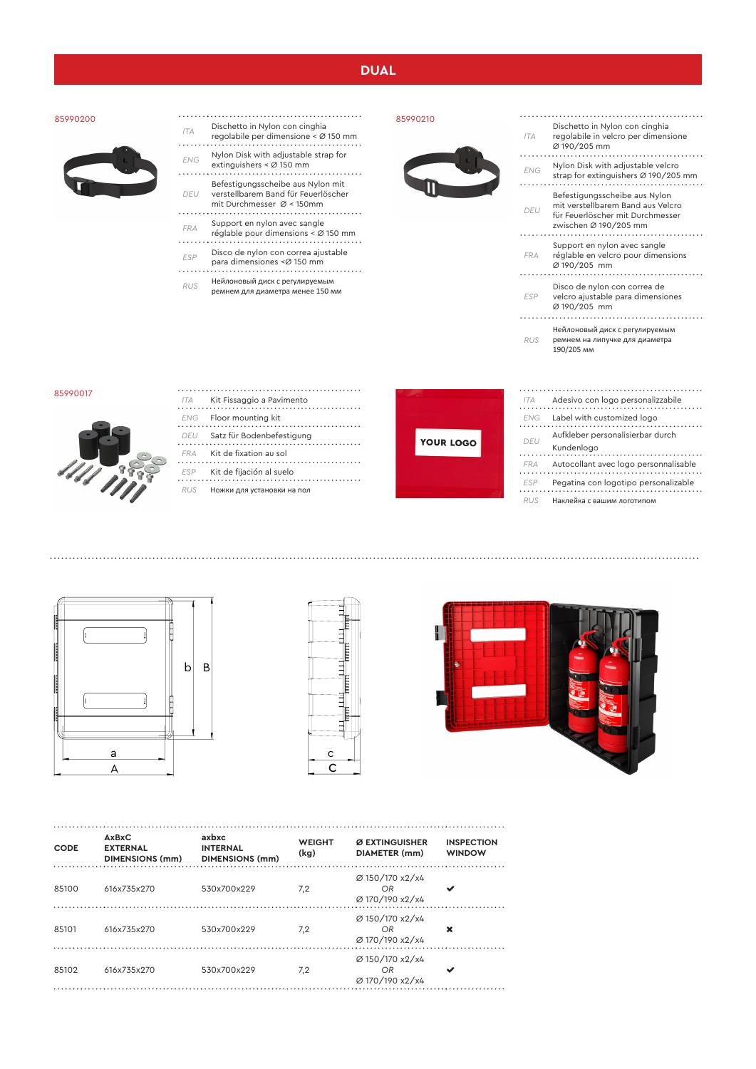# **DUAL**

### 85990200



- *ITA* Dischetto in Nylon con cinghia regolabile per dimensione < Ø 150 mm
- 
- *ENG* Nylon Disk with adjustable strap for extinguishers < Ø 150 mm
- Befestigungsscheibe aus Nylon mit
- *DEU* verstellbarem Band für Feuerlöscher mit Durchmesser Ø < 150mm
- *FRA* Support en nylon avec sangle réglable pour dimensions < Ø 150 mm
- *ESP* Disco de nylon con correa ajustable
- para dimensiones <Ø 150 mm
- *RUS* Нейлоновый диск с регулируемым ремнем для диаметра менее 150 мм





| <b>ITA</b> | Dischetto in Nylon con cinghia<br>regolabile in velcro per dimensione<br>Ø 190/205 mm                                           |
|------------|---------------------------------------------------------------------------------------------------------------------------------|
| <b>FNG</b> | Nylon Disk with adjustable velcro<br>strap for extinguishers Ø 190/205 mm                                                       |
| DEU        | Befestigungsscheibe aus Nylon<br>mit verstellbarem Band aus Velcro<br>für Feuerlöscher mit Durchmesser<br>zwischen Ø 190/205 mm |
| <b>FRA</b> | Support en nylon avec sangle<br>réglable en velcro pour dimensions<br>Ø 190/205 mm                                              |
| <b>ESP</b> | Disco de nylon con correa de<br>velcro ajustable para dimensiones<br>Ø 190/205 mm                                               |
| <b>RUS</b> | Нейлоновый диск с регулируемым<br>ремнем на липучке для диаметра<br>190/205 MM                                                  |

#### 85990017



| ITA. | Kit Fissaggio a Pavimento  |
|------|----------------------------|
| ENG  | Floor mounting kit         |
| DEU  | Satz für Bodenbefestigung  |
| FRA  | Kit de fixation au sol     |
| ESP  | Kit de fijación al suelo   |
| R115 | Ножки для установки на пол |



| <b>ITA</b> | Adesivo con logo personalizzabile              |
|------------|------------------------------------------------|
| <b>FNG</b> | Label with customized logo                     |
| DEU        | Aufkleber personalisierbar durch<br>Kundenlogo |
| <b>FRA</b> | Autocollant avec logo personnalisable          |
| <b>FSP</b> | Pegatina con logotipo personalizable           |
|            | Наклейка с вашим логотипом                     |







| <b>CODE</b> | <b>AxBxC</b><br><b>EXTERNAL</b><br><b>DIMENSIONS (mm)</b> | axbxc<br><b>INTERNAL</b><br><b>DIMENSIONS (mm)</b> | <b>WEIGHT</b><br>(kg) | Ø EXTINGUISHER<br><b>DIAMETER</b> (mm)   | <b>INSPECTION</b><br><b>WINDOW</b> |
|-------------|-----------------------------------------------------------|----------------------------------------------------|-----------------------|------------------------------------------|------------------------------------|
| 85100       | 616x735x270                                               | 530x700x229                                        | 7,2                   | Ø 150/170 x2/x4<br>OR<br>Ø 170/190 x2/x4 |                                    |
| 85101       | 616x735x270                                               | 530x700x229                                        | 7,2                   | Ø 150/170 x2/x4<br>OR<br>Ø 170/190 x2/x4 | ×                                  |
| 85102       | 616x735x270                                               | 530x700x229                                        | 7,2                   | Ø 150/170 x2/x4<br>OR<br>Ø 170/190 x2/x4 |                                    |